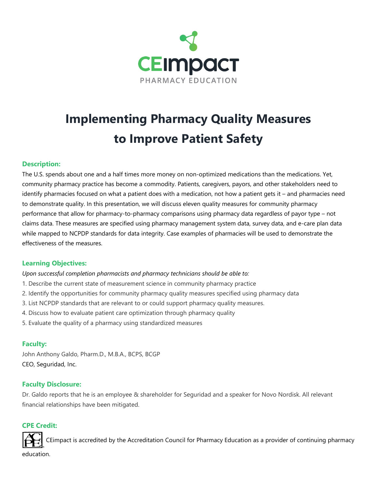

# **Implementing Pharmacy Quality Measures to Improve Patient Safety**

## **Description:**

The U.S. spends about one and a half times more money on non-optimized medications than the medications. Yet, community pharmacy practice has become a commodity. Patients, caregivers, payors, and other stakeholders need to identify pharmacies focused on what a patient does with a medication, not how a patient gets it – and pharmacies need to demonstrate quality. In this presentation, we will discuss eleven quality measures for community pharmacy performance that allow for pharmacy-to-pharmacy comparisons using pharmacy data regardless of payor type – not claims data. These measures are specified using pharmacy management system data, survey data, and e-care plan data while mapped to NCPDP standards for data integrity. Case examples of pharmacies will be used to demonstrate the effectiveness of the measures.

### **Learning Objectives:**

*Upon successful completion pharmacists and pharmacy technicians should be able to:*

- 1. Describe the current state of measurement science in community pharmacy practice
- 2. Identify the opportunities for community pharmacy quality measures specified using pharmacy data
- 3. List NCPDP standards that are relevant to or could support pharmacy quality measures.
- 4. Discuss how to evaluate patient care optimization through pharmacy quality
- 5. Evaluate the quality of a pharmacy using standardized measures

### **Faculty:**

John Anthony Galdo, Pharm.D., M.B.A., BCPS, BCGP CEO, Seguridad, Inc.

### **Faculty Disclosure:**

Dr. Galdo reports that he is an employee & shareholder for Seguridad and a speaker for Novo Nordisk. All relevant financial relationships have been mitigated.

### **CPE Credit:**

CEimpact is accredited by the Accreditation Council for Pharmacy Education as a provider of continuing pharmacy education.